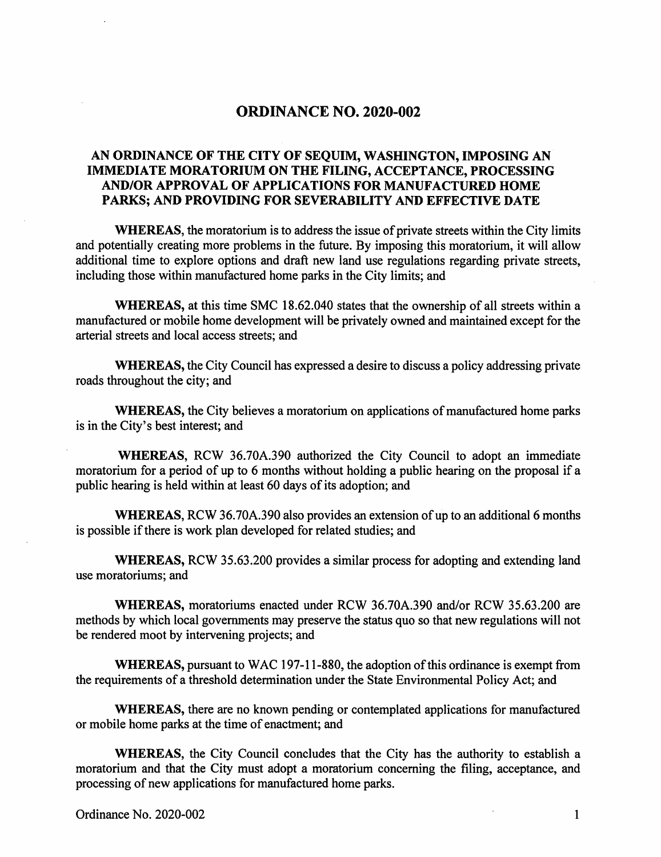## ORDINANCE NO. 2020-002

## AN ORDINANCE OF THE CITY OF SEQUIM, WASHINGTON, IMPOSING AN IMMEDIATE MORATORIUM ON THE FILING, ACCEPTANCE, PROCESSING AND/OR APPROVAL OF APPLICATIONS FOR MANUFACTURED HOME PARKS; AND PROVIDING FOR SEVERABILITY AND EFFECTIVE DATE

WHEREAS, the moratorium is to address the issue of private streets within the City limits and potentially creating more problems in the future. By imposing this moratorium, it will allow additional time to explore options and draft new land use regulations regarding private streets, including those within manufactured home parks in the City limits; and

WHEREAS, at this time SMC 18.62.040 states that the ownership of all streets within a manufactured or mobile home development will be privately owned and maintained except for the arterial streets and local access streets; and

WHEREAS, the City Council has expressed a desire to discuss a policy addressing private roads throughout the city; and

WHEREAS, the City believes a moratorium on applications of manufactured home parks is in the City's best interest; and

WHEREAS, RCW 36.70A.390 authorized the City Council to adopt an immediate moratorium for a period of up to 6 months without holding a public hearing on the proposal if a public hearing is held within at least 60 days of its adoption; and

WHEREAS, RCW 36.70A.390 also provides an extension of up to an additional 6 months is possible if there is work plan developed for related studies; and

WHEREAS, RCW 35.63.200 provides a similar process for adopting and extending land use moratoriums; and

WHEREAS, moratoriums enacted imder RCW 36.70A.390 and/or RCW 35.63.200 are methods by which local governments may preserve the status quo so that new regulations will not be rendered moot by intervening projects; and

WHEREAS, pursuant to WAC 197-11-880, the adoption of this ordinance is exempt from the requirements of a threshold determination under the State Environmental Policy Act; and

WHEREAS, there are no known pending or contemplated applications for manufactured or mobile home parks at the time of enactment; and

WHEREAS, the City Council concludes that the City has the authority to establish a moratorium and that the City must adopt a moratorium concerning the filing, acceptance, and processing of new applications for manufactured home parks.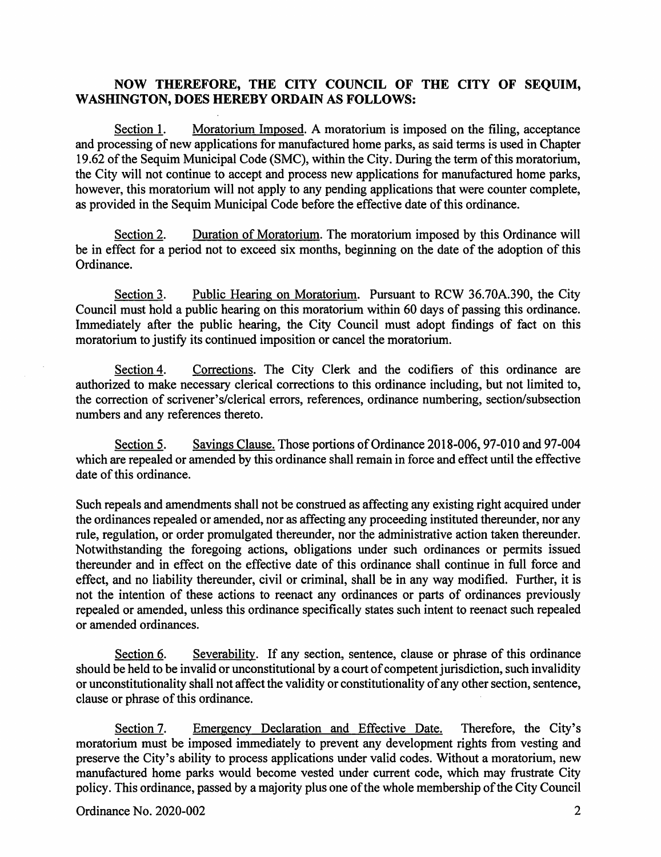## NOW THEREFORE, THE CITY COUNCIL OF THE CITY OF SEQUIM, WASHINGTON, DOES HEREBY ORDAIN AS FOLLOWS:

Moratorium Imposed. A moratorium is imposed on the filing, acceptance and processing of new applications for manufactured home parks, as said terms is used in Chapter 19.62 of the Sequim Municipal Code (SMC), within the City. During the term of this moratorium, the City will not continue to accept and process new applications for manufactured home parks, however, this moratorium will not apply to any pending applications that were counter complete, as provided in the Sequim Municipal Code before the effective date of this ordinance. Section 1.

Duration of Moratorium. The moratorium imposed by this Ordinance will be in effect for a period not to exceed six months, beginning on the date of the adoption of this Ordinance. Section 2.

Public Hearing on Moratorium. Pursuant to RCW 36.70A.390, the City Council must hold a public hearing on this moratorium within 60 days of passing this ordinance. Immediately after the public hearing, the City Council must adopt findings of fact on this moratorium to justify its continued imposition or cancel the moratorium. Section 3.

Corrections. The City Clerk and the codifiers of this ordinance are authorized to make necessary clerical corrections to this ordinance including, but not limited to, the correction of scrivener's/clerical errors, references, ordinance numbering, section/subsection numbers and any references thereto. Section 4.

Savings Clause. Those portions of Ordinance 2018-006, 97-010 and 97-004 which are repealed or amended by this ordinance shall remain in force and effect until the effective date of this ordinance. Section 5.

Such repeals and amendments shall not be construed as affecting any existing right acquired under the ordinances repealed or amended, nor as affecting any proceeding instituted thereunder, nor any rule, regulation, or order promulgated thereunder, nor the administrative action taken thereunder. Notwithstanding the foregoing actions, obligations under such ordinances or permits issued thereunder and in effect on the effective date of this ordinance shall continue in full force and effect, and no liability thereunder, civil or criminal, shall be in any way modified. Further, it is not the intention of these actions to reenact any ordinances or parts of ordinances previously repealed or amended, unless this ordinance specifically states such intent to reenact such repealed or amended ordinances.

Severability. If any section, sentence, clause or phrase of this ordinance should be held to be invalid or unconstitutional by a court of competent jurisdiction, such invalidity or unconstitutionality shall not affect the validity or constitutionality of any other section, sentence, clause or phrase of this ordinance. Section 6.

Emergency Declaration and Effective Date, Therefore, the City's moratorium must be imposed immediately to prevent any development rights from vesting and preserve the City's ability to process applications under valid codes. Without a moratorium, new manufactured home parks would become vested under current code, which may frustrate City policy. This ordinance, passed by a majority plus one of the whole membership of the City Council Section 7.